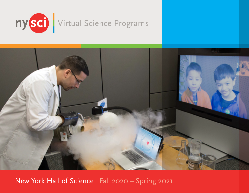



New York Hall of Science Fall 2020 – Spring 2021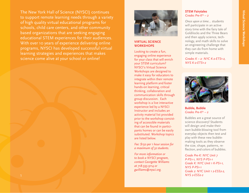Virtual Science Workshops **Virtual Science Workshops** 

The New York Hall of Science (NYSCI) continues to support remote learning needs through a variety of high quality virtual educational programs for schools, child care centers, and other community based organizations that are seeking engaging educational STEM experiences for their audiences. With over 10 years of experience delivering online programs, NYSCI has developed successful virtual learning strategies and experiences that makes science come alive at your school or online!



## **VIRTUAL SCIENCE WORKSHOPS**

Looking to create a fun, engaging online experience for your class that will enrich your STEM curriculum? NYSCI's Virtual Science Workshops are designed to make it easy for educators to integrate within their remote learning platform and foster hands-on learning, critical thinking, collaboration and communication skills through group discussion. Each workshop is a live interactive experience led by a NYSCI Instructor and includes an activity material list provided prior to the workshop consisting of accessible materials that can be found in participants homes or can be easily substituted. Workshop topics are listed below.

*Fee: \$150 per 1 hour session for a maximum of 32 students.* 

*For more information or to book a NYSCI program, contact Georgette Williams at 718-595-9114 or gwilliams@nysci.org.*

## **STEM Fairytales**   *Grades Pre-K\* – 2*

 *Once upon a time…* students will participate in an active story time with the fairy tale of Goldilocks and the Three Bears and then apply science, technology, and math skills to solve an engineering challenge that they can do from home with simple materials.

*Grades K – 2: NYC K-2-ETS1-2, NYS K-2-ETS1-2* 



 **Bubble, Bubble**  *Grades Pre-K\* – 2*

 Bubbles are a great source of science discovery! Students will design and make their own bubble-blowing tool from everyday objects then test and play with these new bubblemaking tools as they observe the size, shape, patterns, reflection, and colors of bubbles.

*Grade Pre-K: NYC Unit 7 P-PS1-1, NYS P-PS1-1 Grade K: NYC Unit 1 K-PS1-1, NYS P-PS1-1 Grade 2: NYC Unit 1 2-ESS2-2,*  1 *NYS 2-ESS2-2*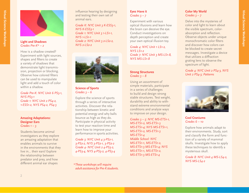

## **Light and Shadows**   *Grades Pre-K\* – 2*

 How is a shadow created? Experiment with light sources, shapes and filters to create a variety of shadows that demonstrate light transmission, projection or blocking. Observe how colored filters can be used to manipulate light and add a touch of color within a shadow.

 *Grade Pre-K: NYC Unit 6 PS3-1, NYS PS3-1 Grade 1: NYC Unit 2 PS4-2, 1-ESS1-2, NYS PS4-2, PS4-3*

## **Amazing Adaptations: Designer Ears**   *Grades 1 – 3*

 Students become animal investigators as they explore an amazing adaptation that enables animals to survive in the environments that they live in... their ears! Explore the relationship between predator and prey, and how different animal ear shapes

influence hearing by designing and testing their own set of animal ears.

 *Grade K: NYC Unit 3 K-ESS3-1, NYS K-ESS3-1 Grade 1: NYC Unit 3 1-LS1-1, NYS 1-LS1-1 Grade 2: NYC Unit 3 2-LS2-2, NYS 2-LS2-2*



## **Science of Sports** *Grades 3 – 6*

 Explore the science of sports through a series of interactive activities. Discover the relationship between kinetic and potential energy and why balls bounce as high as they do. Participate in physical activity to test your reaction time and learn how to improve your performance in sports activities.

 *Grade 3: NYC Unit 4 3-PS2-1, 3-PS2-2, NYS 3-PS2-1, 3-PS2-2 Grade 4- NYC Unit 2 4-PS3-2, 4-PS3-4, NYS 4-PS3-2, 4-PS3-4*

*\*These workshops will require adult assistance for Pre-K students.*

# **Eyes Have it**  *Grades 3 – 7*

 Experiment with various optical illusions and learn how the brain can deceive the eye. Conduct investigations on depth perception and create your own optical illusion toy.

 *Grade 4: NYC Unit 1 LS1-2, NYS LS1-2 Grade 7: NYC Unit 3 MS-LS1-8, NYS MS-LS1-8* 

# **Strong Structures**  *Grades 3 – 8*

 Using an assortment of simple materials, participate in a series of challenges to build and design strong stable structures. Test weight, durability and ability to withstand extreme environmental conditions and analyze ways to improve on your design.

 *Grades 3 – 5: NYC MS-ETS1-1, MS-ETS1-2, MS-ETS1-3 MS-ETS1-4; NYS MS-ETS1-1, MS-ETS1-2, MS-ETS1-3 MS-ETS1-4 Middle School: NYC MS-ETS1-1, MS-ETS1-2, MS-ETS1-3 MS-ETS1-4; NYS MS-ETS1-1, MS-ETS1-2, MS-ETS1-3 MS-ETS1-4* 

# **Color My World** *Grades 3 – 7*

 Delve into the mysteries of color and light to learn about the visible spectrum, colorabsorption and reflection. Observe objects under unique monochromatic color filters and discover how colors can be blocked to create secret messages. Investigate a device that utilizes a diffraction grating lens to observe the spectrum of light.

 *Grade 4: NYC Unit 2 PS4-3, NYS Unit 2 PS4-3; Patterns*



 **Cool Craniums**  *Grades 6 – 10*

 Explore how animals adapt to their environments. Study, sort and classify the form and function of a variety of mammal skulls. Investigate how to apply these techniques to identify a mysterious skull.

 *Grade 8: NYC Unit 4 MS-LS4-2, NYS MS-LS4-2*

**Virtual Science Workshops** 

Virtual Science Workshops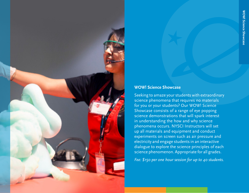

# **WOW! Science Showcase**

Seeking to amaze your students with extraordinary science phenomena that requires no materials for you or your students? Our WOW! Science Showcase consists of a range of eye popping science demonstrations that will spark interest in understanding the how and why science phenomena occurs. NYSCI Instructors will set up all materials and equipment and conduct experiments on screen such as air pressure and electricity and engage students in an interactive dialogue to explore the science principles of each science phenomenon. Appropriate for all grades.

*Fee: \$150 per one hour session for up to 40 students.*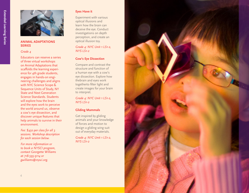

#### **ANIMAL ADAPTATIONS SERIES**

#### *Grade 4*

 Educators can reserve a series of three virtual workshops on Animal Adaptations that scaffolds the learning experi ence for 4th grade students, engages in hands-on engi neering challenges and aligns with NYC Science Scope & Sequence Units of Study, NY State and Next Generation Science Standards. Students will explore how the brain and the eyes work to perceive the world around us, observe a cow's eye dissection, and discover unique features that help animals to survive in their environment.

 *Fee: \$450 per class for all 3 sessions. Workshop description for each session below.*

 *For more information or to book a NYSCI program, contact Georgette Williams at 718-595-9114 or gwilliams@nysci.org.*

## **Eyes Have it**

 Experiment with various optical illusions and learn how the brain can deceive the eye. Conduct investigations on depth perception, and create an optical illusion toy.

*Grade 4: NYC Unit 1 LS1-2, NYS LS1-2*

#### **Cow's Eye Dissection**

Compare and contrast the structure and function of a human eye with a cow's eye dissection. Explore how thebrain and eyes work togetherto filter light and create images for your brain to interpret.

*Grade 4: NYC Unit 1 LS1-2, NYS LS1-2*

#### **Gliding Mammals**

Get inspired by gliding animals and your knowledge of forces and motion to design a gliding wing suit out of everyday materials.

*Grade 4: NYC Unit 1 LS1-2, NYS LS1-2*